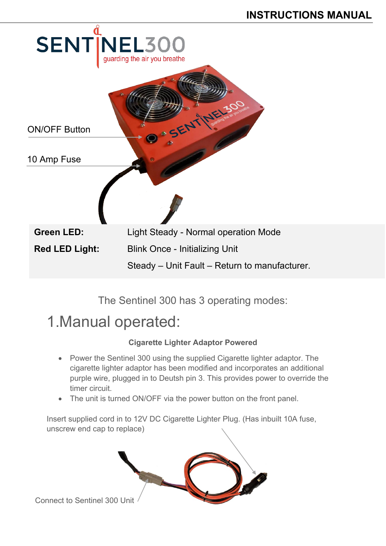

The Sentinel 300 has 3 operating modes:

# 1.Manual operated:

## **Cigarette Lighter Adaptor Powered**

- Power the Sentinel 300 using the supplied Cigarette lighter adaptor. The cigarette lighter adaptor has been modified and incorporates an additional purple wire, plugged in to Deutsh pin 3. This provides power to override the timer circuit.
- The unit is turned ON/OFF via the power button on the front panel.

Insert supplied cord in to 12V DC Cigarette Lighter Plug. (Has inbuilt 10A fuse, unscrew end cap to replace)



Connect to Sentinel 300 Unit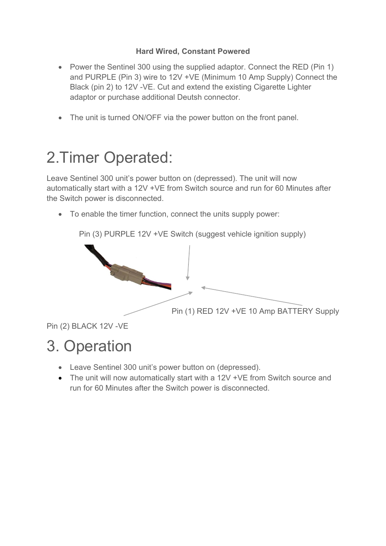### **Hard Wired, Constant Powered**

- Power the Sentinel 300 using the supplied adaptor. Connect the RED (Pin 1) and PURPLE (Pin 3) wire to 12V +VE (Minimum 10 Amp Supply) Connect the Black (pin 2) to 12V -VE. Cut and extend the existing Cigarette Lighter adaptor or purchase additional Deutsh connector.
- The unit is turned ON/OFF via the power button on the front panel.

# 2.Timer Operated:

Leave Sentinel 300 unit's power button on (depressed). The unit will now automatically start with a 12V +VE from Switch source and run for 60 Minutes after the Switch power is disconnected.

• To enable the timer function, connect the units supply power:

Pin (3) PURPLE 12V +VE Switch (suggest vehicle ignition supply)



Pin (2) BLACK 12V -VE

# 3. Operation

- Leave Sentinel 300 unit's power button on (depressed).
- The unit will now automatically start with a 12V +VE from Switch source and run for 60 Minutes after the Switch power is disconnected.